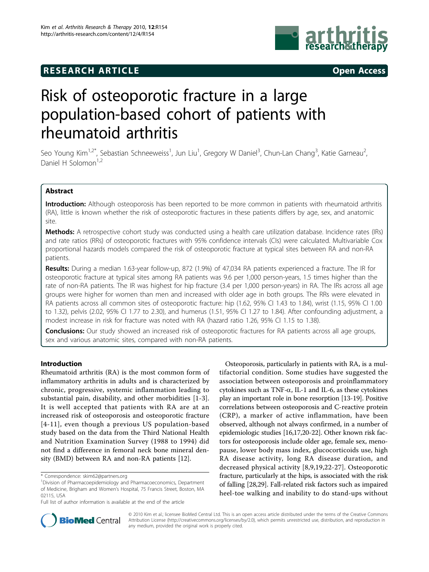# **RESEARCH ARTICLE Example 2014 CONSUMING ACCESS**



# Risk of osteoporotic fracture in a large population-based cohort of patients with rheumatoid arthritis

Seo Young Kim<sup>1,2\*</sup>, Sebastian Schneeweiss<sup>1</sup>, Jun Liu<sup>1</sup>, Gregory W Daniel<sup>3</sup>, Chun-Lan Chang<sup>3</sup>, Katie Garneau<sup>2</sup> , Daniel H Solomon<sup>1,2</sup>

# Abstract

Introduction: Although osteoporosis has been reported to be more common in patients with rheumatoid arthritis (RA), little is known whether the risk of osteoporotic fractures in these patients differs by age, sex, and anatomic site.

Methods: A retrospective cohort study was conducted using a health care utilization database. Incidence rates (IRs) and rate ratios (RRs) of osteoporotic fractures with 95% confidence intervals (CIs) were calculated. Multivariable Cox proportional hazards models compared the risk of osteoporotic fracture at typical sites between RA and non-RA patients.

Results: During a median 1.63-year follow-up, 872 (1.9%) of 47,034 RA patients experienced a fracture. The IR for osteoporotic fracture at typical sites among RA patients was 9.6 per 1,000 person-years, 1.5 times higher than the rate of non-RA patients. The IR was highest for hip fracture (3.4 per 1,000 person-years) in RA. The IRs across all age groups were higher for women than men and increased with older age in both groups. The RRs were elevated in RA patients across all common sites of osteoporotic fracture: hip (1.62, 95% CI 1.43 to 1.84), wrist (1.15, 95% CI 1.00 to 1.32), pelvis (2.02, 95% CI 1.77 to 2.30), and humerus (1.51, 95% CI 1.27 to 1.84). After confounding adjustment, a modest increase in risk for fracture was noted with RA (hazard ratio 1.26, 95% CI 1.15 to 1.38).

**Conclusions:** Our study showed an increased risk of osteoporotic fractures for RA patients across all age groups, sex and various anatomic sites, compared with non-RA patients.

# Introduction

Rheumatoid arthritis (RA) is the most common form of inflammatory arthritis in adults and is characterized by chronic, progressive, systemic inflammation leading to substantial pain, disability, and other morbidities [\[1](#page-7-0)-[3](#page-7-0)]. It is well accepted that patients with RA are at an increased risk of osteoporosis and osteoporotic fracture [[4](#page-7-0)[-11](#page-8-0)], even though a previous US population-based study based on the data from the Third National Health and Nutrition Examination Survey (1988 to 1994) did not find a difference in femoral neck bone mineral density (BMD) between RA and non-RA patients [\[12](#page-8-0)].

Osteoporosis, particularly in patients with RA, is a multifactorial condition. Some studies have suggested the association between osteoporosis and proinflammatory cytokines such as TNF- $\alpha$ , IL-1 and IL-6, as these cytokines play an important role in bone resorption [\[13-19\]](#page-8-0). Positive correlations between osteoporosis and C-reactive protein (CRP), a marker of active inflammation, have been observed, although not always confirmed, in a number of epidemiologic studies [\[16,17](#page-8-0),[20](#page-8-0)-[22](#page-8-0)]. Other known risk factors for osteoporosis include older age, female sex, menopause, lower body mass index, glucocorticoids use, high RA disease activity, long RA disease duration, and decreased physical activity [[8](#page-7-0),[9,](#page-7-0)[19](#page-8-0),[22-27\]](#page-8-0). Osteoporotic fracture, particularly at the hips, is associated with the risk of falling [[28,29](#page-8-0)]. Fall-related risk factors such as impaired heel-toe walking and inability to do stand-ups without



© 2010 Kim et al.; licensee BioMed Central Ltd. This is an open access article distributed under the terms of the Creative Commons Attribution License [\(http://creativecommons.org/licenses/by/2.0](http://creativecommons.org/licenses/by/2.0)), which permits unrestricted use, distribution, and reproduction in any medium, provided the original work is properly cited.

<sup>\*</sup> Correspondence: [skim62@partners.org](mailto:skim62@partners.org)

<sup>&</sup>lt;sup>1</sup>Division of Pharmacoepidemiology and Pharmacoeconomics, Department of Medicine, Brigham and Women's Hospital, 75 Francis Street, Boston, MA 02115, USA

Full list of author information is available at the end of the article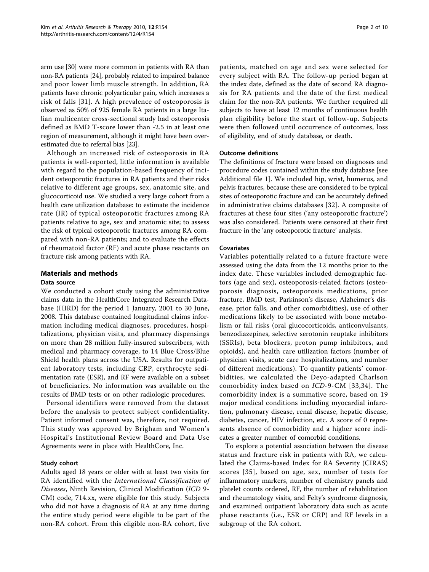arm use [\[30\]](#page-8-0) were more common in patients with RA than non-RA patients [\[24](#page-8-0)], probably related to impaired balance and poor lower limb muscle strength. In addition, RA patients have chronic polyarticular pain, which increases a risk of falls [[31\]](#page-8-0). A high prevalence of osteoporosis is observed as 50% of 925 female RA patients in a large Italian multicenter cross-sectional study had osteoporosis defined as BMD T-score lower than -2.5 in at least one region of measurement, although it might have been overestimated due to referral bias [\[23\]](#page-8-0).

Although an increased risk of osteoporosis in RA patients is well-reported, little information is available with regard to the population-based frequency of incident osteoporotic fractures in RA patients and their risks relative to different age groups, sex, anatomic site, and glucocorticoid use. We studied a very large cohort from a health care utilization database: to estimate the incidence rate (IR) of typical osteoporotic fractures among RA patients relative to age, sex and anatomic site; to assess the risk of typical osteoporotic fractures among RA compared with non-RA patients; and to evaluate the effects of rheumatoid factor (RF) and acute phase reactants on fracture risk among patients with RA.

# Materials and methods

#### Data source

We conducted a cohort study using the administrative claims data in the HealthCore Integrated Research Database (HIRD) for the period 1 January, 2001 to 30 June, 2008. This database contained longitudinal claims information including medical diagnoses, procedures, hospitalizations, physician visits, and pharmacy dispensings on more than 28 million fully-insured subscribers, with medical and pharmacy coverage, to 14 Blue Cross/Blue Shield health plans across the USA. Results for outpatient laboratory tests, including CRP, erythrocyte sedimentation rate (ESR), and RF were available on a subset of beneficiaries. No information was available on the results of BMD tests or on other radiologic procedures.

Personal identifiers were removed from the dataset before the analysis to protect subject confidentiality. Patient informed consent was, therefore, not required. This study was approved by Brigham and Women's Hospital's Institutional Review Board and Data Use Agreements were in place with HealthCore, Inc.

## Study cohort

Adults aged 18 years or older with at least two visits for RA identified with the International Classification of Diseases, Ninth Revision, Clinical Modification (ICD 9- CM) code, 714.xx, were eligible for this study. Subjects who did not have a diagnosis of RA at any time during the entire study period were eligible to be part of the non-RA cohort. From this eligible non-RA cohort, five

patients, matched on age and sex were selected for every subject with RA. The follow-up period began at the index date, defined as the date of second RA diagnosis for RA patients and the date of the first medical claim for the non-RA patients. We further required all subjects to have at least 12 months of continuous health plan eligibility before the start of follow-up. Subjects were then followed until occurrence of outcomes, loss of eligibility, end of study database, or death.

## Outcome definitions

The definitions of fracture were based on diagnoses and procedure codes contained within the study database [see Additional file [1\]](#page-7-0). We included hip, wrist, humerus, and pelvis fractures, because these are considered to be typical sites of osteoporotic fracture and can be accurately defined in administrative claims databases [\[32](#page-8-0)]. A composite of fractures at these four sites ('any osteoporotic fracture') was also considered. Patients were censored at their first fracture in the 'any osteoporotic fracture' analysis.

#### Covariates

Variables potentially related to a future fracture were assessed using the data from the 12 months prior to the index date. These variables included demographic factors (age and sex), osteoporosis-related factors (osteoporosis diagnosis, osteoporosis medications, prior fracture, BMD test, Parkinson's disease, Alzheimer's disease, prior falls, and other comorbidities), use of other medications likely to be associated with bone metabolism or fall risks (oral glucocorticoids, anticonvulsants, benzodiazepines, selective serotonin reuptake inhibitors (SSRIs), beta blockers, proton pump inhibitors, and opioids), and health care utilization factors (number of physician visits, acute care hospitalizations, and number of different medications). To quantify patients' comorbidities, we calculated the Deyo-adapted Charlson comorbidity index based on ICD-9-CM [[33,34\]](#page-8-0). The comorbidity index is a summative score, based on 19 major medical conditions including myocardial infarction, pulmonary disease, renal disease, hepatic disease, diabetes, cancer, HIV infection, etc. A score of 0 represents absence of comorbidity and a higher score indicates a greater number of comorbid conditions.

To explore a potential association between the disease status and fracture risk in patients with RA, we calculated the Claims-based Index for RA Severity (CIRAS) scores [[35](#page-8-0)], based on age, sex, number of tests for inflammatory markers, number of chemistry panels and platelet counts ordered, RF, the number of rehabilitation and rheumatology visits, and Felty's syndrome diagnosis, and examined outpatient laboratory data such as acute phase reactants (i.e., ESR or CRP) and RF levels in a subgroup of the RA cohort.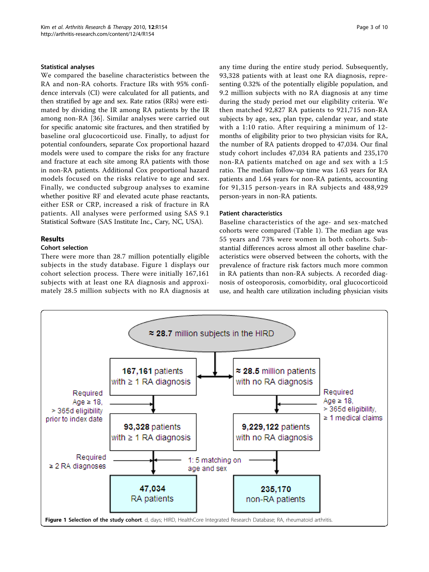## Statistical analyses

We compared the baseline characteristics between the RA and non-RA cohorts. Fracture IRs with 95% confidence intervals (CI) were calculated for all patients, and then stratified by age and sex. Rate ratios (RRs) were estimated by dividing the IR among RA patients by the IR among non-RA [[36](#page-8-0)]. Similar analyses were carried out for specific anatomic site fractures, and then stratified by baseline oral glucocorticoid use. Finally, to adjust for potential confounders, separate Cox proportional hazard models were used to compare the risks for any fracture and fracture at each site among RA patients with those in non-RA patients. Additional Cox proportional hazard models focused on the risks relative to age and sex. Finally, we conducted subgroup analyses to examine whether positive RF and elevated acute phase reactants, either ESR or CRP, increased a risk of fracture in RA patients. All analyses were performed using SAS 9.1 Statistical Software (SAS Institute Inc., Cary, NC, USA).

# Results

## Cohort selection

There were more than 28.7 million potentially eligible subjects in the study database. Figure 1 displays our cohort selection process. There were initially 167,161 subjects with at least one RA diagnosis and approximately 28.5 million subjects with no RA diagnosis at any time during the entire study period. Subsequently, 93,328 patients with at least one RA diagnosis, representing 0.32% of the potentially eligible population, and 9.2 million subjects with no RA diagnosis at any time during the study period met our eligibility criteria. We then matched 92,827 RA patients to 921,715 non-RA subjects by age, sex, plan type, calendar year, and state with a 1:10 ratio. After requiring a minimum of 12 months of eligibility prior to two physician visits for RA, the number of RA patients dropped to 47,034. Our final study cohort includes 47,034 RA patients and 235,170 non-RA patients matched on age and sex with a 1:5 ratio. The median follow-up time was 1.63 years for RA patients and 1.64 years for non-RA patients, accounting for 91,315 person-years in RA subjects and 488,929 person-years in non-RA patients.

## Patient characteristics

Baseline characteristics of the age- and sex-matched cohorts were compared (Table [1\)](#page-3-0). The median age was 55 years and 73% were women in both cohorts. Substantial differences across almost all other baseline characteristics were observed between the cohorts, with the prevalence of fracture risk factors much more common in RA patients than non-RA subjects. A recorded diagnosis of osteoporosis, comorbidity, oral glucocorticoid use, and health care utilization including physician visits

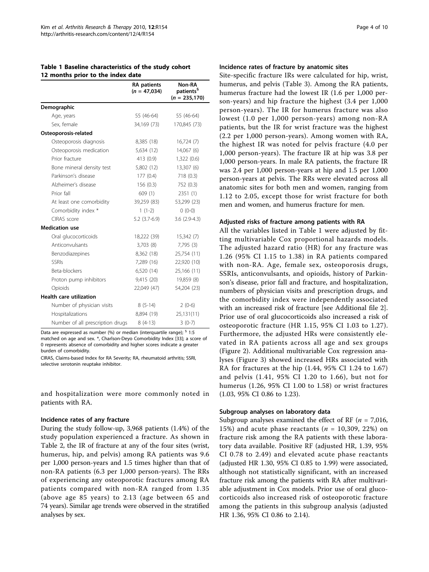<span id="page-3-0"></span>

|                                   | Table 1 Baseline characteristics of the study cohort |
|-----------------------------------|------------------------------------------------------|
| 12 months prior to the index date |                                                      |

|                                  | <b>RA</b> patients<br>$(n = 47,034)$ | Non-RA<br>patients <sup>§</sup><br>$(n = 235, 170)$ |
|----------------------------------|--------------------------------------|-----------------------------------------------------|
| Demographic                      |                                      |                                                     |
| Age, years                       | 55 (46-64)                           | 55 (46-64)                                          |
| Sex, female                      | 34,169 (73)                          | 170,845 (73)                                        |
| Osteoporosis-related             |                                      |                                                     |
| Osteoporosis diagnosis           | 8,385 (18)                           | 16,724(7)                                           |
| Osteoporosis medication          | 5,634 (12)                           | 14,067(6)                                           |
| Prior fracture                   | 413 (0.9)                            | 1,322 (0.6)                                         |
| Bone mineral density test        | 5,802 (12)                           | 13,307 (6)                                          |
| Parkinson's disease              | 177(0.4)                             | 718(0.3)                                            |
| Alzheimer's disease              | 156(0.3)                             | 752 (0.3)                                           |
| Prior fall                       | 609 (1)                              | 2351 (1)                                            |
| At least one comorbidity         | 39,259 (83)                          | 53,299 (23)                                         |
| Comorbidity index *              | $1(1-2)$                             | $0(0-0)$                                            |
| CIRAS score                      | $5.2(3.7-6.9)$                       | $3.6(2.9-4.3)$                                      |
| <b>Medication use</b>            |                                      |                                                     |
| Oral glucocorticoids             | 18,222 (39)                          | 15,342 (7)                                          |
| Anticonvulsants                  | 3,703(8)                             | 7,795(3)                                            |
| Benzodiazepines                  | 8,362 (18)                           | 25,754 (11)                                         |
| <b>SSRIs</b>                     | 7,289 (16)                           | 22,920 (10)                                         |
| Beta-blockers                    | 6,520 (14)                           | 25,166 (11)                                         |
| Proton pump inhibitors           | 9,415 (20)                           | 19,859 (8)                                          |
| Opioids                          | 22,049 (47)                          | 54,204 (23)                                         |
| <b>Health care utilization</b>   |                                      |                                                     |
| Number of physician visits       | $8(5-14)$                            | $2(0-6)$                                            |
| Hospitalizations                 | 8,894 (19)                           | 25,131(11)                                          |
| Number of all prescription drugs | $8(4-13)$                            | $3(0-7)$                                            |

Data are expressed as number (%) or median (interquartile range); <sup>§</sup> 1:5 matched on age and sex. \*, Charlson-Deyo Comorbidity Index [\[33](#page-8-0)]; a score of 0 represents absence of comorbidity and higher scores indicate a greater burden of comorbidity.

CIRAS, Claims-based Index for RA Severity; RA, rheumatoid arthritis; SSRI, selective serotonin reuptake inhibitor.

and hospitalization were more commonly noted in patients with RA.

#### Incidence rates of any fracture

During the study follow-up, 3,968 patients (1.4%) of the study population experienced a fracture. As shown in Table [2,](#page-4-0) the IR of fracture at any of the four sites (wrist, humerus, hip, and pelvis) among RA patients was 9.6 per 1,000 person-years and 1.5 times higher than that of non-RA patients (6.3 per 1,000 person-years). The RRs of experiencing any osteoporotic fractures among RA patients compared with non-RA ranged from 1.35 (above age 85 years) to 2.13 (age between 65 and 74 years). Similar age trends were observed in the stratified analyses by sex.

#### Incidence rates of fracture by anatomic sites

Site-specific fracture IRs were calculated for hip, wrist, humerus, and pelvis (Table [3\)](#page-5-0). Among the RA patients, humerus fracture had the lowest IR (1.6 per 1,000 person-years) and hip fracture the highest (3.4 per 1,000 person-years). The IR for humerus fracture was also lowest (1.0 per 1,000 person-years) among non-RA patients, but the IR for wrist fracture was the highest (2.2 per 1,000 person-years). Among women with RA, the highest IR was noted for pelvis fracture (4.0 per 1,000 person-years). The fracture IR at hip was 3.8 per 1,000 person-years. In male RA patients, the fracture IR was 2.4 per 1,000 person-years at hip and 1.5 per 1,000 person-years at pelvis. The RRs were elevated across all anatomic sites for both men and women, ranging from 1.12 to 2.05, except those for wrist fracture for both men and women, and humerus fracture for men.

#### Adjusted risks of fracture among patients with RA

All the variables listed in Table 1 were adjusted by fitting multivariable Cox proportional hazards models. The adjusted hazard ratio (HR) for any fracture was 1.26 (95% CI 1.15 to 1.38) in RA patients compared with non-RA. Age, female sex, osteoporosis drugs, SSRIs, anticonvulsants, and opioids, history of Parkinson's disease, prior fall and fracture, and hospitalization, numbers of physician visits and prescription drugs, and the comorbidity index were independently associated with an increased risk of fracture [see Additional file [2](#page-7-0)]. Prior use of oral glucocorticoids also increased a risk of osteoporotic fracture (HR 1.15, 95% CI 1.03 to 1.27). Furthermore, the adjusted HRs were consistently elevated in RA patients across all age and sex groups (Figure [2](#page-6-0)). Additional multivariable Cox regression analyses (Figure [3\)](#page-6-0) showed increased HRs associated with RA for fractures at the hip (1.44, 95% CI 1.24 to 1.67) and pelvis (1.41, 95% CI 1.20 to 1.66), but not for humerus (1.26, 95% CI 1.00 to 1.58) or wrist fractures (1.03, 95% CI 0.86 to 1.23).

#### Subgroup analyses on laboratory data

Subgroup analyses examined the effect of RF ( $n = 7,016$ , 15%) and acute phase reactants ( $n = 10,309, 22%$ ) on fracture risk among the RA patients with these laboratory data available. Positive RF (adjusted HR, 1.39, 95% CI 0.78 to 2.49) and elevated acute phase reactants (adjusted HR 1.30, 95% CI 0.85 to 1.99) were associated, although not statistically significant, with an increased fracture risk among the patients with RA after multivariable adjustment in Cox models. Prior use of oral glucocorticoids also increased risk of osteoporotic fracture among the patients in this subgroup analysis (adjusted HR 1.36, 95% CI 0.86 to 2.14).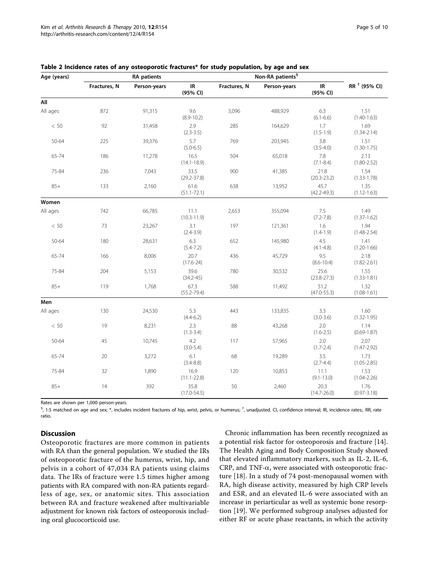| Age (years) |              | <b>RA</b> patients |                         | Non-RA patients <sup>§</sup> |              |                         |                          |
|-------------|--------------|--------------------|-------------------------|------------------------------|--------------|-------------------------|--------------------------|
|             | Fractures, N | Person-years       | IR<br>(95% CI)          | Fractures, N                 | Person-years | IR<br>(95% CI)          | RR <sup>+</sup> (95% CI) |
| All         |              |                    |                         |                              |              |                         |                          |
| All ages    | 872          | 91,315             | 9.6<br>$(8.9 - 10.2)$   | 3,096                        | 488,929      | 6.3<br>$(6.1 - 6.6)$    | 1.51<br>$(1.40 - 1.63)$  |
| < 50        | 92           | 31,458             | 2.9<br>$(2.3 - 3.5)$    | 285                          | 164,629      | 1.7<br>$(1.5 - 1.9)$    | 1.69<br>$(1.34 - 2.14)$  |
| 50-64       | 225          | 39,376             | 5.7<br>$(5.0 - 6.5)$    | 769                          | 203,945      | 3.8<br>$(3.5 - 4.0)$    | 1.51<br>$(1.30 - 1.75)$  |
| 65-74       | 186          | 11,278             | 16.5<br>$(14.1 - 18.9)$ | 504                          | 65,018       | 7.8<br>$(7.1 - 8.4)$    | 2.13<br>$(1.80 - 2.52)$  |
| 75-84       | 236          | 7,043              | 33.5<br>$(29.2 - 37.8)$ | 900                          | 41,385       | 21.8<br>$(20.3 - 23.2)$ | 1.54<br>$(1.33 - 1.78)$  |
| $85+$       | 133          | 2,160              | 61.6<br>$(51.1 - 72.1)$ | 638                          | 13,952       | 45.7<br>$(42.2 - 49.3)$ | 1.35<br>$(1.12 - 1.63)$  |
| Women       |              |                    |                         |                              |              |                         |                          |
| All ages    | 742          | 66,785             | 11.1<br>$(10.3 - 11.9)$ | 2,653                        | 355,094      | 7.5<br>$(7.2 - 7.8)$    | 1.49<br>$(1.37 - 1.62)$  |
| $<\,50$     | 73           | 23,267             | 3.1<br>$(2.4 - 3.9)$    | 197                          | 121,361      | 1.6<br>$(1.4 - 1.9)$    | 1.94<br>$(1.48 - 2.54)$  |
| 50-64       | 180          | 28,631             | 6.3<br>$(5.4 - 7.2)$    | 652                          | 145,980      | 4.5<br>$(4.1 - 4.8)$    | 1.41<br>$(1.20 - 1.66)$  |
| 65-74       | 166          | 8,006              | 20.7<br>$(17.6 - 24)$   | 436                          | 45,729       | 9.5<br>$(8.6 - 10.4)$   | 2.18<br>$(1.82 - 2.61)$  |
| 75-84       | 204          | 5,153              | 39.6<br>$(34.2 - 45)$   | 780                          | 30,532       | 25.6<br>$(23.8 - 27.3)$ | 1.55<br>$(1.33 - 1.81)$  |
| $85+$       | 119          | 1,768              | 67.3<br>$(55.2 - 79.4)$ | 588                          | 11,492       | 51.2<br>$(47.0 - 55.3)$ | 1.32<br>$(1.08 - 1.61)$  |
| Men         |              |                    |                         |                              |              |                         |                          |
| All ages    | 130          | 24,530             | 5.3<br>$(4.4 - 6.2)$    | 443                          | 133,835      | 3.3<br>$(3.0 - 3.6)$    | 1.60<br>$(1.32 - 1.95)$  |
| < 50        | 19           | 8,231              | 2.3<br>$(1.3 - 3.4)$    | 88                           | 43,268       | 2.0<br>$(1.6 - 2.5)$    | 1.14<br>$(0.69 - 1.87)$  |
| 50-64       | 45           | 10,745             | 4.2<br>$(3.0 - 5.4)$    | 117                          | 57,965       | 2.0<br>$(1.7 - 2.4)$    | 2.07<br>$(1.47 - 2.92)$  |
| 65-74       | 20           | 3,272              | 6.1<br>$(3.4 - 8.8)$    | 68                           | 19,289       | 3.5<br>$(2.7 - 4.4)$    | 1.73<br>$(1.05 - 2.85)$  |
| 75-84       | 32           | 1,890              | 16.9<br>$(11.1 - 22.8)$ | 120                          | 10,853       | 11.1<br>$(9.1 - 13.0)$  | 1.53<br>$(1.04 - 2.26)$  |
| $85+$       | 14           | 392                | 35.8<br>$(17.0 - 54.5)$ | 50                           | 2,460        | 20.3<br>$(14.7 - 26.0)$ | 1.76<br>$(0.97 - 3.18)$  |

<span id="page-4-0"></span>

|  |  | Table 2 Incidence rates of any osteoporotic fractures* for study population, by age and sex |
|--|--|---------------------------------------------------------------------------------------------|
|--|--|---------------------------------------------------------------------------------------------|

Rates are shown per 1,000 person-years.

 $^{\$}$ , 1:5 matched on age and sex;  $*$ , includes incident fractures of hip, wrist, pelvis, or humerus;  $^{\dagger}$ , unadjusted. CI, confidence interval; IR, incidence rates;. RR, rate ratio.

# Discussion

Osteoporotic fractures are more common in patients with RA than the general population. We studied the IRs of osteoporotic fracture of the humerus, wrist, hip, and pelvis in a cohort of 47,034 RA patients using claims data. The IRs of fracture were 1.5 times higher among patients with RA compared with non-RA patients regardless of age, sex, or anatomic sites. This association between RA and fracture weakened after multivariable adjustment for known risk factors of osteoporosis including oral glucocorticoid use.

Chronic inflammation has been recently recognized as a potential risk factor for osteoporosis and fracture [\[14](#page-8-0)]. The Health Aging and Body Composition Study showed that elevated inflammatory markers, such as IL-2, IL-6,  $CRP$ , and  $TNF-\alpha$ , were associated with osteoporotic fracture [[18\]](#page-8-0). In a study of 74 post-menopausal women with RA, high disease activity, measured by high CRP levels and ESR, and an elevated IL-6 were associated with an increase in periarticular as well as systemic bone resorption [[19\]](#page-8-0). We performed subgroup analyses adjusted for either RF or acute phase reactants, in which the activity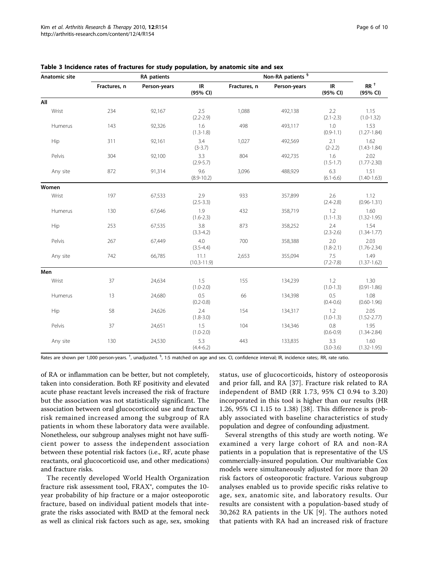| Anatomic site | <b>RA</b> patients |              |                         | Non-RA patients <sup>§</sup> |              |                                               |                         |
|---------------|--------------------|--------------|-------------------------|------------------------------|--------------|-----------------------------------------------|-------------------------|
|               | Fractures, n       | Person-years | IR<br>(95% CI)          | Fractures, n                 | Person-years | $\ensuremath{\mathsf{IR}}\xspace$<br>(95% CI) | $RR^+$<br>(95% CI)      |
| All           |                    |              |                         |                              |              |                                               |                         |
| Wrist         | 234                | 92,167       | 2.5<br>$(2.2 - 2.9)$    | 1,088                        | 492,138      | 2.2<br>$(2.1 - 2.3)$                          | 1.15<br>$(1.0 - 1.32)$  |
| Humerus       | 143                | 92,326       | 1.6<br>$(1.3 - 1.8)$    | 498                          | 493,117      | 1.0<br>$(0.9 - 1.1)$                          | 1.53<br>$(1.27 - 1.84)$ |
| Hip           | 311                | 92,161       | 3.4<br>$(3-3.7)$        | 1,027                        | 492,569      | 2.1<br>$(2-2.2)$                              | 1.62<br>$(1.43 - 1.84)$ |
| Pelvis        | 304                | 92,100       | 3.3<br>$(2.9 - 5.7)$    | 804                          | 492,735      | 1.6<br>$(1.5 - 1.7)$                          | 2.02<br>$(1.77 - 2.30)$ |
| Any site      | 872                | 91,314       | 9.6<br>$(8.9 - 10.2)$   | 3,096                        | 488,929      | 6.3<br>$(6.1 - 6.6)$                          | 1.51<br>$(1.40 - 1.63)$ |
| Women         |                    |              |                         |                              |              |                                               |                         |
| Wrist         | 197                | 67,533       | 2.9<br>$(2.5 - 3.3)$    | 933                          | 357,899      | 2.6<br>$(2.4 - 2.8)$                          | 1.12<br>$(0.96 - 1.31)$ |
| Humerus       | 130                | 67,646       | 1.9<br>$(1.6 - 2.3)$    | 432                          | 358,719      | 1.2<br>$(1.1 - 1.3)$                          | 1.60<br>$(1.32 - 1.95)$ |
| Hip           | 253                | 67,535       | 3.8<br>$(3.3-4.2)$      | 873                          | 358,252      | 2.4<br>$(2.3 - 2.6)$                          | 1.54<br>$(1.34 - 1.77)$ |
| Pelvis        | 267                | 67,449       | 4.0<br>$(3.5 - 4.4)$    | 700                          | 358,388      | 2.0<br>$(1.8 - 2.1)$                          | 2.03<br>$(1.76 - 2.34)$ |
| Any site      | 742                | 66,785       | 11.1<br>$(10.3 - 11.9)$ | 2,653                        | 355,094      | 7.5<br>$(7.2 - 7.8)$                          | 1.49<br>$(1.37 - 1.62)$ |
| Men           |                    |              |                         |                              |              |                                               |                         |
| Wrist         | 37                 | 24,634       | 1.5<br>$(1.0 - 2.0)$    | 155                          | 134,239      | 1.2<br>$(1.0-1.3)$                            | 1.30<br>$(0.91 - 1.86)$ |
| Humerus       | 13                 | 24,680       | 0.5<br>$(0.2 - 0.8)$    | 66                           | 134,398      | 0.5<br>$(0.4 - 0.6)$                          | 1.08<br>$(0.60 - 1.96)$ |
| Hip           | 58                 | 24,626       | 2.4<br>$(1.8 - 3.0)$    | 154                          | 134,317      | 1.2<br>$(1.0-1.3)$                            | 2.05<br>$(1.52 - 2.77)$ |
| Pelvis        | 37                 | 24,651       | 1.5<br>$(1.0 - 2.0)$    | 104                          | 134,346      | 0.8<br>$(0.6 - 0.9)$                          | 1.95<br>$(1.34 - 2.84)$ |
| Any site      | 130                | 24,530       | 5.3<br>$(4.4 - 6.2)$    | 443                          | 133,835      | 3.3<br>$(3.0 - 3.6)$                          | 1.60<br>$(1.32 - 1.95)$ |

#### <span id="page-5-0"></span>Table 3 Incidence rates of fractures for study population, by anatomic site and sex

Rates are shown per 1,000 person-years. <sup>†</sup>, unadjusted. <sup>§</sup>, 1:5 matched on age and sex. CI, confidence interval; IR, incidence rates;. RR, rate ratio.

of RA or inflammation can be better, but not completely, taken into consideration. Both RF positivity and elevated acute phase reactant levels increased the risk of fracture but the association was not statistically significant. The association between oral glucocorticoid use and fracture risk remained increased among the subgroup of RA patients in whom these laboratory data were available. Nonetheless, our subgroup analyses might not have sufficient power to assess the independent association between these potential risk factors (i.e., RF, acute phase reactants, oral glucocorticoid use, and other medications) and fracture risks.

The recently developed World Health Organization fracture risk assessment tool, FRAX®, computes the 10 year probability of hip fracture or a major osteoporotic fracture, based on individual patient models that integrate the risks associated with BMD at the femoral neck as well as clinical risk factors such as age, sex, smoking status, use of glucocorticoids, history of osteoporosis and prior fall, and RA [[37](#page-8-0)]. Fracture risk related to RA independent of BMD (RR 1.73, 95% CI 0.94 to 3.20) incorporated in this tool is higher than our results (HR 1.26, 95% CI 1.15 to 1.38) [[38\]](#page-8-0). This difference is probably associated with baseline characteristics of study population and degree of confounding adjustment.

Several strengths of this study are worth noting. We examined a very large cohort of RA and non-RA patients in a population that is representative of the US commercially-insured population. Our multivariable Cox models were simultaneously adjusted for more than 20 risk factors of osteoporotic fracture. Various subgroup analyses enabled us to provide specific risks relative to age, sex, anatomic site, and laboratory results. Our results are consistent with a population-based study of 30,262 RA patients in the UK [\[9\]](#page-7-0). The authors noted that patients with RA had an increased risk of fracture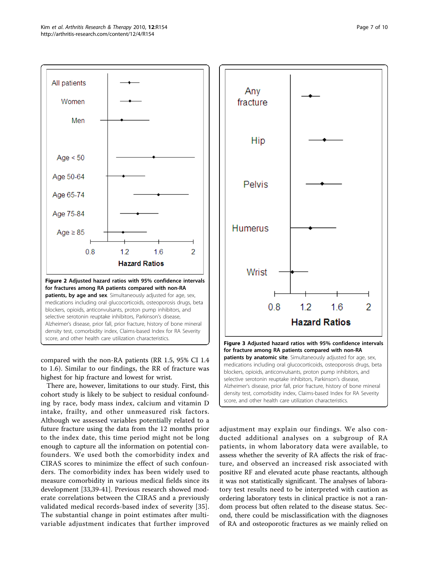<span id="page-6-0"></span>

compared with the non-RA patients (RR 1.5, 95% CI 1.4 to 1.6). Similar to our findings, the RR of fracture was highest for hip fracture and lowest for wrist.

There are, however, limitations to our study. First, this cohort study is likely to be subject to residual confounding by race, body mass index, calcium and vitamin D intake, frailty, and other unmeasured risk factors. Although we assessed variables potentially related to a future fracture using the data from the 12 months prior to the index date, this time period might not be long enough to capture all the information on potential confounders. We used both the comorbidity index and CIRAS scores to minimize the effect of such confounders. The comorbidity index has been widely used to measure comorbidity in various medical fields since its development [[33](#page-8-0),[39](#page-8-0)-[41\]](#page-8-0). Previous research showed moderate correlations between the CIRAS and a previously validated medical records-based index of severity [[35](#page-8-0)]. The substantial change in point estimates after multivariable adjustment indicates that further improved



adjustment may explain our findings. We also conducted additional analyses on a subgroup of RA patients, in whom laboratory data were available, to assess whether the severity of RA affects the risk of fracture, and observed an increased risk associated with positive RF and elevated acute phase reactants, although it was not statistically significant. The analyses of laboratory test results need to be interpreted with caution as ordering laboratory tests in clinical practice is not a random process but often related to the disease status. Second, there could be misclassification with the diagnoses of RA and osteoporotic fractures as we mainly relied on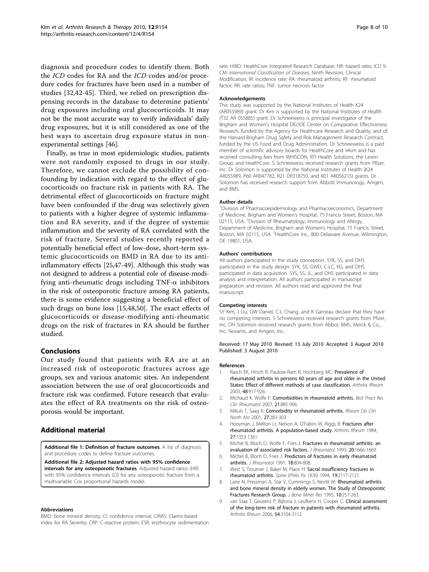<span id="page-7-0"></span>diagnosis and procedure codes to identify them. Both the ICD codes for RA and the ICD codes and/or procedure codes for fractures have been used in a number of studies [[32,42](#page-8-0)-[45\]](#page-8-0). Third, we relied on prescription dispensing records in the database to determine patients' drug exposures including oral glucocorticoids. It may not be the most accurate way to verify individuals' daily drug exposures, but it is still considered as one of the best ways to ascertain drug exposure status in nonexperimental settings [\[46\]](#page-8-0).

Finally, as true in most epidemiologic studies, patients were not randomly exposed to drugs in our study. Therefore, we cannot exclude the possibility of confounding by indication with regard to the effect of glucocorticoids on fracture risk in patients with RA. The detrimental effect of glucocorticoids on fracture might have been confounded if the drug was selectively given to patients with a higher degree of systemic inflammation and RA severity, and if the degree of systemic inflammation and the severity of RA correlated with the risk of fracture. Several studies recently reported a potentially beneficial effect of low-dose, short-term systemic glucocorticoids on BMD in RA due to its antiinflammatory effects [\[25,47](#page-8-0)[-49](#page-9-0)]. Although this study was not designed to address a potential role of disease-modifying anti-rheumatic drugs including  $TNF-\alpha$  inhibitors in the risk of osteoporotic fracture among RA patients, there is some evidence suggesting a beneficial effect of such drugs on bone loss [\[15,48](#page-8-0)[,50](#page-9-0)]. The exact effects of glucocorticoids or disease-modifying anti-rheumatic drugs on the risk of fractures in RA should be further studied.

## Conclusions

Our study found that patients with RA are at an increased risk of osteoporotic fractures across age groups, sex and various anatomic sites. An independent association between the use of oral glucocorticoids and fracture risk was confirmed. Future research that evaluates the effect of RA treatments on the risk of osteoporosis would be important.

# Additional material

[Additional file 1: D](http://www.biomedcentral.com/content/supplementary/ar3107-S1.DOC)efinition of fracture outcomes. A list of diagnosis and procedure codes to define fracture outcomes

[Additional file 2: A](http://www.biomedcentral.com/content/supplementary/ar3107-S2.DOC)djusted hazard ratios with 95% confidence intervals for any osteoporotic fractures. Adjusted hazard ratios (HR) with 95% confidence intervals (CI) for any osteoporotic fracture from a multivariable Cox proportional hazards model.

#### Abbreviations

BMD: bone mineral density; CI: confidence interval; CIRAS: Claims-based Index for RA Severity; CRP: C-reactive protein; ESR: erythrocyte sedimentation

rate; HIRD: HealthCore Integrated Research Database; HR: hazard ratio; ICD 9- CM: International Classification of Diseases, Ninth Revision, Clinical Modification; IR: incidence rate; RA: rheumatoid arthritis; RF: rheumatoid factor; RR: rate ratios; TNF: tumor necrosis factor.

#### Acknowledgements

This study was supported by the National Institutes of Health K24 (AR055989) grant. Dr Kim is supported by the National Institutes of Health (T32 AR 055885) grant. Dr Schneeweiss is principal investigator of the Brigham and Women's Hospital DEcIDE Center on Comparative Effectiveness Research, funded by the Agency for Healthcare Research and Quality, and of the Harvard-Brigham Drug Safety and Risk Management Research Contract, funded by the US Food and Drug Administration. Dr Schneeweiss is a paid member of scientific advisory boards for HealthCore and ii4sm and has received consulting fees from WHISCON, RTI Health Solutions, the Lewin Group, and HealthCore. S Schneeweiss received research grants from Pfizer, Inc. Dr Solomon is supported by the National Institutes of Health (K24 AR055989, P60 AR047782, R21 DE018750, and R01 AR056215) grants. Dr Solomon has received research support from Abbott Immunology, Amgen, and BMS.

#### Author details

<sup>1</sup> Division of Pharmacoepidemiology and Pharmacoeconomics, Department of Medicine, Brigham and Women's Hospital, 75 Francis Street, Boston, MA 02115, USA. <sup>2</sup> Division of Rheumatology, Immunology and Allergy Department of Medicine, Brigham and Women's Hospital, 75 Francis Street, Boston, MA 02115, USA. <sup>3</sup> HealthCore Inc., 800 Delaware Avenue, Wilmington, DE 19801, USA.

#### Authors' contributions

All authors participated in the study conception. SYK, SS, and DHS participated in the study design. SYK, SS, GWD, C-LC, KG, and DHS participated in data acquisition. SYS, SS, JL, and DHS participated in data analysis and interpretation. All authors participated in manuscript preparation and revision. All authors read and approved the final manuscript.

#### Competing interests

SY Kim, J Liu, GW Daniel, C-L Chang, and K Garneau declare that they have no competing interests. S Schneeweiss received research grants from Pfizer, Inc. DH Solomon received research grants from Abbot, BMS, Merck & Co., Inc. Novartis, and Amgen, Inc.

#### Received: 17 May 2010 Revised: 13 July 2010 Accepted: 3 August 2010 Published: 3 August 2010

#### References

- 1. Rasch EK, Hirsch R, Paulose-Ram R, Hochberg MC: Prevalence of rheumatoid arthritis in persons 60 years of age and older in the United States: Effect of different methods of case classification. Arthritis Rheum 2003, 48:917-926.
- 2. Michaud K, Wolfe F: Comorbidities in rheumatoid arthritis. Best Pract Res Clin Rheumatol 2007, 21:885-906.
- 3. Mikuls T, Saag K: Comorbidity in rheumatoid arthritis. Rheum Dis Clin North Am 2001, 27:283-303.
- 4. Hooyman J, Melton Lr, Nelson A, O'Fallon W, Riggs B: Fractures after rheumatoid arthritis. A population-based study. Arthritis Rheum 1984, 27:1353-1361.
- 5. Michel B, Bloch D, Wolfe F, Fries J: Fractures in rheumatoid arthritis: an evaluation of associated risk factors. J Rheumatol 1993, 20:1666-1669.
- 6. Michel B, Bloch D, Fries J: Predictors of fractures in early rheumatoid arthritis. J Rheumatol 1991, 18:804-808.
- 7. West S, Troutner J, Baker M, Place H: Sacral insufficiency fractures in rheumatoid arthritis. Spine (Phila Pa 1976) 1994, 19:2117-2121.
- 8. Lane N, Pressman A, Star V, Cummings S, Nevitt M: Rheumatoid arthritis and bone mineral density in elderly women. The Study of Osteoporotic Fractures Research Group. J Bone Miner Res 1995, 10:257-263.
- 9. van Staa T, Geusens P, Bijlsma J, Leufkens H, Cooper C: Clinical assessment of the long-term risk of fracture in patients with rheumatoid arthritis. Arthritis Rheum 2006, 54:3104-3112.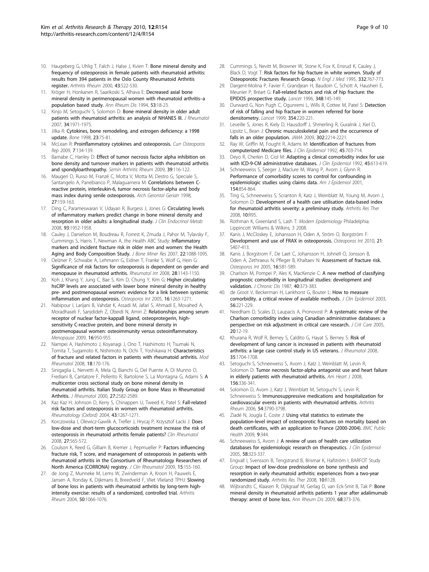- <span id="page-8-0"></span>10. Haugeberg G, Uhlig T, Falch J, Halse J, Kvien T: Bone mineral density and frequency of osteoporosis in female patients with rheumatoid arthritis: results from 394 patients in the Oslo County Rheumatoid Arthritis register. Arthritis Rheum 2000, 43:522-530.
- 11. Kröger H, Honkanen R, Saarikoski S, Alhava E: Decreased axial bone mineral density in perimenopausal women with rheumatoid arthritis–a population based study. Ann Rheum Dis 1994, 53:18-23.
- 12. Kinjo M, Setoguchi S, Solomon D: Bone mineral density in older adult patients with rheumatoid arthritis: an analysis of NHANES III. J Rheumatol 2007, 34:1971-1975.
- 13. Jilka R: Cytokines, bone remodeling, and estrogen deficiency: a 1998 update. Bone 1998, 23:75-81.
- 14. McLean R: Proinflammatory cytokines and osteoporosis. Curr Osteoporos Rep 2009, 7:134-139.
- 15. Barnabe C, Hanley D: Effect of tumor necrosis factor alpha inhibition on bone density and turnover markers in patients with rheumatoid arthritis and spondyloarthropathy. Semin Arthritis Rheum 2009, 39:116-122.
- 16. Maugeri D, Russo M, Franzé C, Motta V, Motta M, Destro G, Speciale S, Santangelo A, Panebianco P, Malaguarnera M: Correlations between Creactive protein, interleukin-6, tumor necrosis factor-alpha and body mass index during senile osteoporosis. Arch Gerontol Geriatr 1998, 27:159-163.
- 17. Ding C, Parameswaran V, Udayan R, Burgess J, Jones G; Circulating levels of inflammatory markers predict change in bone mineral density and resorption in older adults: a longitudinal study. J Clin Endocrinol Metab 2008, 93:1952-1958.
- 18. Cauley J, Danielson M, Boudreau R, Forrest K, Zmuda J, Pahor M, Tylavsky F, Cummings S, Harris T, Newman A, the Health ABC Study: Inflammatory markers and incident fracture risk in older men and women: the Health Aging and Body Composition Study. J Bone Miner Res 2007, 22:1088-1095.
- 19. Oelzner P, Schwabe A, Lehmann G, Eidner T, Franke S, Wolf G, Hein G: Significance of risk factors for osteoporosis is dependent on gender and menopause in rheumatoid arthritis. Rheumatol Int 2008, 28:1143-1150.
- 20. Koh J, Khang Y, Jung C, Bae S, Kim D, Chung Y, Kim G: Higher circulating hsCRP levels are associated with lower bone mineral density in healthy pre- and postmenopausal women: evidence for a link between systemic inflammation and osteoporosis. Osteoporos Int 2005, 16:1263-1271.
- 21. Nabipour I, Larijani B, Vahdat K, Assadi M, Jafari S, Ahmadi E, Movahed A, Moradhaseli F, Sanjdideh Z, Obeidi N, Amiri Z: Relationships among serum receptor of nuclear factor-kappaB ligand, osteoprotegerin, highsensitivity C-reactive protein, and bone mineral density in postmenopausal women: osteoimmunity versus osteoinflammatory. Menopause 2009, 16:950-955.
- 22. Nampei A, Hashimoto J, Koyanagi J, Ono T, Hashimoto H, Tsumaki N, Tomita T, Sugamoto K, Nishimoto N, Ochi T, Yoshikawa H: Characteristics of fracture and related factors in patients with rheumatoid arthritis. Mod Rheumatol 2008, 18:170-176.
- 23. Sinigaglia L, Nervetti A, Mela Q, Bianchi G, Del Puente A, Di Munno O, Frediani B, Cantatore F, Pellerito R, Bartolone S, La Montagna G, Adami S: A multicenter cross sectional study on bone mineral density in rheumatoid arthritis. Italian Study Group on Bone Mass in Rheumatoid Arthritis. J Rheumatol 2000, 27:2582-2589.
- 24. Kaz Kaz H, Johnson D, Kerry S, Chinappen U, Tweed K, Patel S: Fall-related risk factors and osteoporosis in women with rheumatoid arthritis. Rheumatology (Oxford) 2004, 43:1267-1271.
- 25. Korczowska I, Olewicz-Gawlik A, Trefler J, Hrycaj P, Krzysztof Łacki J: Does low-dose and short-term glucocorticoids treatment increase the risk of osteoporosis in rheumatoid arthritis female patients? Clin Rheumatol 2008, 27:565-572.
- 26. Coulson K, Reed G, Gilliam B, Kremer J, Pepmueller P: Factors influencing fracture risk, T score, and management of osteoporosis in patients with rheumatoid arthritis in the Consortium of Rheumatology Researchers of North America (CORRONA) registry. J Clin Rheumatol 2009, 15:155-160.
- 27. de Jong Z, Munneke M, Lems W, Zwinderman A, Kroon H, Pauwels E, Jansen A, Ronday K, Dijkmans B, Breedveld F, Vliet Vlieland TPHJ: Slowing of bone loss in patients with rheumatoid arthritis by long-term highintensity exercise: results of a randomized, controlled trial. Arthritis Rheum 2004, 50:1066-1076.
- 28. Cummings S, Nevitt M, Browner W, Stone K, Fox K, Ensrud K, Cauley J, Black D, Vogt T: Risk factors for hip fracture in white women. Study of Osteoporotic Fractures Research Group. N Engl J Med 1995, 332:767-773.
- 29. Dargent-Molina P, Favier F, Grandjean H, Baudoin C, Schott A, Hausherr E, Meunier P, Bréart G: Fall-related factors and risk of hip fracture: the EPIDOS prospective study. Lancet 1996, 348:145-149.
- 30. Durward G, Non Pugh C, Ogunremi L, Wills R, Cottee M, Patel S: Detection of risk of falling and hip fracture in women referred for bone densitometry. Lancet 1999, 354:220-221.
- 31. Leveille S, Jones R, Kiely D, Hausdorff J, Shmerling R, Guralnik J, Kiel D, Lipsitz L, Bean J: Chronic musculoskeletal pain and the occurrence of falls in an older population. JAMA 2009, 302:2214-2221.
- 32. Ray W, Griffin M, Fought R, Adams M: Identification of fractures from computerized Medicare files. J Clin Epidemiol 1992, 45:703-714.
- 33. Deyo R, Cherkin D, Ciol M: Adapting a clinical comorbidity index for use with ICD-9-CM administrative databases. J Clin Epidemiol 1992, 45:613-619.
- 34. Schneeweiss S, Seeger J, Maclure M, Wang P, Avorn J, Glynn R: Performance of comorbidity scores to control for confounding in epidemiologic studies using claims data. Am J Epidemiol 2001, 154:854-864.
- 35. Ting G, Schneeweiss S, Scranton R, Katz J, Weinblatt M, Young M, Avorn J, Solomon D: Development of a health care utilisation data-based index for rheumatoid arthritis severity: a preliminary study. Arthritis Res Ther 2008, 10:R95.
- 36. Rothman K, Greenland S, Lash T: Modern Epidemiology Philadelphia: Lippincott Williams & Wilkins, 3 2008.
- 37. Kanis J, McCloskey E, Johansson H, Oden A, Ström O, Borgström F: Development and use of FRAX in osteoporosis. Osteoporos Int 2010, 21: S407-413.
- 38. Kanis J, Borgstrom F, De Laet C, Johansson H, Johnell O, Jonsson B, Oden A, Zethraeus N, Pfleger B, Khaltaev N: Assessment of fracture risk. Osteoporos Int 2005, 16:581-589.
- 39. Charlson M, Pompei P, Ales K, MacKenzie C: A new method of classifying prognostic comorbidity in longitudinal studies: development and validation. *J Chronic Dis* 1987, 40:373-383.
- 40. de Groot V, Beckerman H, Lankhorst G, Bouter L: How to measure comorbidity. a critical review of available methods. J Clin Epidemiol 2003, 56:221-229.
- 41. Needham D, Scales D, Laupacis A, Pronovost P: A systematic review of the Charlson comorbidity index using Canadian administrative databases: a perspective on risk adjustment in critical care research. J Crit Care 2005, 20:12-19.
- 42. Khurana R, Wolf R, Berney S, Caldito G, Hayat S, Berney S: Risk of development of lung cancer is increased in patients with rheumatoid arthritis: a large case control study in US veterans. *J Rheumatol* 2008, 35:1704-1708.
- 43. Setoguchi S, Schneeweiss S, Avorn J, Katz J, Weinblatt M, Levin R, Solomon D: Tumor necrosis factor-alpha antagonist use and heart failure in elderly patients with rheumatoid arthritis. Am Heart J 2008, 156:336-341.
- 44. Solomon D, Avorn J, Katz J, Weinblatt M, Setoguchi S, Levin R, Schneeweiss S: Immunosuppressive medications and hospitalization for cardiovascular events in patients with rheumatoid arthritis. Arthritis Rheum 2006, 54:3790-3798.
- 45. Ziadé N, Jougla E, Coste J: Using vital statistics to estimate the population-level impact of osteoporotic fractures on mortality based on death certificates, with an application to France (2000-2004). BMC Public Health 2009, 9:344.
- 46. Schneeweiss S, Avorn J: A review of uses of health care utilization databases for epidemiologic research on therapeutics. J Clin Epidemiol 2005, 58:323-337.
- 47. Engvall I, Svensson B, Tengstrand B, Brismar K, Hafström I, BARFOT Study Group: Impact of low-dose prednisolone on bone synthesis and resorption in early rheumatoid arthritis: experiences from a two-year randomized study. Arthritis Res Ther 2008, 10:R128.
- 48. Wijbrandts C, Klaasen R, Dijkgraaf M, Gerlag D, van Eck-Smit B, Tak P: Bone mineral density in rheumatoid arthritis patients 1 year after adalimumab therapy: arrest of bone loss. Ann Rheum Dis 2009, 68:373-376.